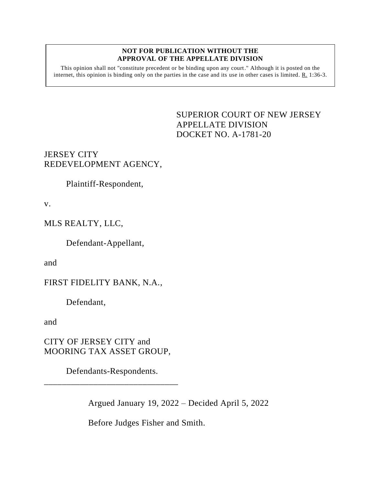#### **NOT FOR PUBLICATION WITHOUT THE APPROVAL OF THE APPELLATE DIVISION**

This opinion shall not "constitute precedent or be binding upon any court." Although it is posted on the internet, this opinion is binding only on the parties in the case and its use in other cases is limited. R. 1:36-3.

### <span id="page-0-0"></span>SUPERIOR COURT OF NEW JERSEY APPELLATE DIVISION DOCKET NO. A-1781-20

## JERSEY CITY REDEVELOPMENT AGENCY,

Plaintiff-Respondent,

v.

# MLS REALTY, LLC,

Defendant-Appellant,

and

# FIRST FIDELITY BANK, N.A.,

Defendant,

and

CITY OF JERSEY CITY and MOORING TAX ASSET GROUP,

Defendants-Respondents. \_\_\_\_\_\_\_\_\_\_\_\_\_\_\_\_\_\_\_\_\_\_\_\_\_\_\_\_\_\_

Argued January 19, 2022 – Decided April 5, 2022

Before Judges Fisher and Smith.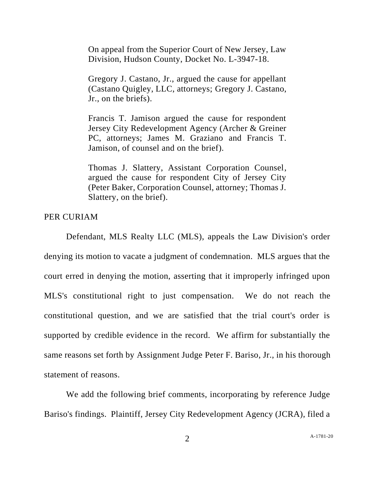On appeal from the Superior Court of New Jersey, Law Division, Hudson County, Docket No. L-3947-18.

Gregory J. Castano, Jr., argued the cause for appellant (Castano Quigley, LLC, attorneys; Gregory J. Castano, Jr., on the briefs).

Francis T. Jamison argued the cause for respondent Jersey City Redevelopment Agency (Archer & Greiner PC, attorneys; James M. Graziano and Francis T. Jamison, of counsel and on the brief).

Thomas J. Slattery, Assistant Corporation Counsel, argued the cause for respondent City of Jersey City (Peter Baker, Corporation Counsel, attorney; Thomas J. Slattery, on the brief).

PER CURIAM

Defendant, MLS Realty LLC (MLS), appeals the Law Division's order denying its motion to vacate a judgment of condemnation. MLS argues that the court erred in denying the motion, asserting that it improperly infringed upon MLS's constitutional right to just compensation. We do not reach the constitutional question, and we are satisfied that the trial court's order is supported by credible evidence in the record. We affirm for substantially the same reasons set forth by Assignment Judge Peter F. Bariso, Jr., in his thorough statement of reasons.

We add the following brief comments, incorporating by reference Judge Bariso's findings. Plaintiff, Jersey City Redevelopment Agency (JCRA), filed a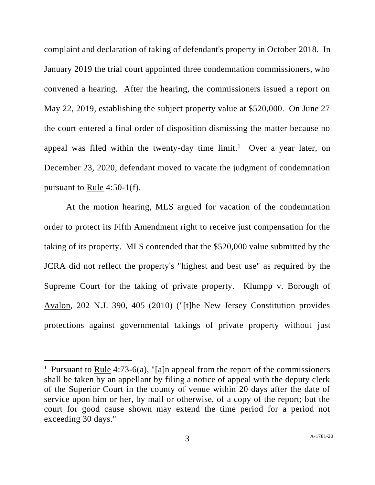complaint and declaration of taking of defendant's property in October 2018. In January 2019 the trial court appointed three condemnation commissioners, who convened a hearing. After the hearing, the commissioners issued a report on May 22, 2019, establishing the subject property value at \$520,000. On June 27 the court entered a final order of disposition dismissing the matter because no appeal was filed within the twenty-day time  $limit<sup>1</sup>$  Over a year later, on December 23, 2020, defendant moved to vacate the judgment of condemnation pursuant to Rule 4:50-1(f).

At the motion hearing, MLS argued for vacation of the condemnation order to protect its Fifth Amendment right to receive just compensation for the taking of its property. MLS contended that the \$520,000 value submitted by the JCRA did not reflect the property's "highest and best use" as required by the Supreme Court for the taking of private property. Klumpp v. Borough of Avalon, 202 N.J. 390, 405 (2010) ("[t]he New Jersey Constitution provides protections against governmental takings of private property without just

<sup>&</sup>lt;sup>1</sup> Pursuant to <u>Rule</u> 4:73-6(a), "[a]n appeal from the report of the commissioners shall be taken by an appellant by filing a notice of appeal with the deputy clerk of the Superior Court in the county of venue within 20 days after the date of service upon him or her, by mail or otherwise, of a copy of the report; but the court for good cause shown may extend the time period for a period not exceeding 30 days."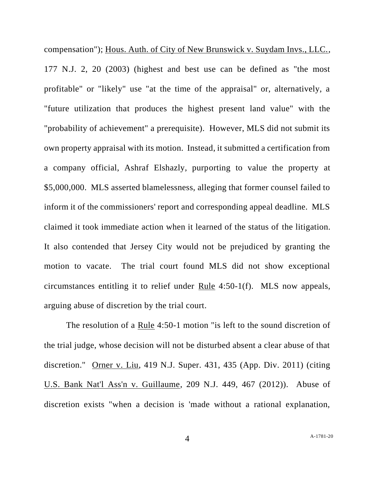compensation"); Hous. Auth. of City of New Brunswick v. Suydam Invs., LLC., 177 N.J. 2, 20 (2003) (highest and best use can be defined as "the most profitable" or "likely" use "at the time of the appraisal" or, alternatively, a "future utilization that produces the highest present land value" with the "probability of achievement" a prerequisite). However, MLS did not submit its own property appraisal with its motion. Instead, it submitted a certification from a company official, Ashraf Elshazly, purporting to value the property at \$5,000,000. MLS asserted blamelessness, alleging that former counsel failed to inform it of the commissioners' report and corresponding appeal deadline. MLS claimed it took immediate action when it learned of the status of the litigation. It also contended that Jersey City would not be prejudiced by granting the motion to vacate. The trial court found MLS did not show exceptional circumstances entitling it to relief under Rule 4:50-1(f). MLS now appeals, arguing abuse of discretion by the trial court.

The resolution of a Rule 4:50-1 motion "is left to the sound discretion of the trial judge, whose decision will not be disturbed absent a clear abuse of that discretion." Orner v. Liu, 419 N.J. Super. 431, 435 (App. Div. 2011) (citing U.S. Bank Nat'l Ass'n v. Guillaume, 209 N.J. 449, 467 (2012)). Abuse of discretion exists "when a decision is 'made without a rational explanation,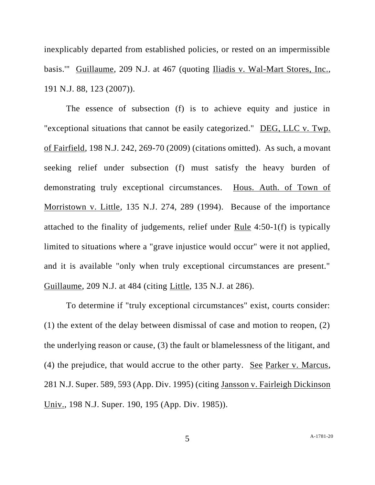inexplicably departed from established policies, or rested on an impermissible basis.'" Guillaume, 209 N.J. at 467 (quoting Iliadis v. Wal-Mart Stores, Inc., 191 N.J. 88, 123 (2007)).

The essence of subsection (f) is to achieve equity and justice in "exceptional situations that cannot be easily categorized." DEG, LLC v. Twp. of Fairfield, 198 N.J. 242, 269-70 (2009) (citations omitted). As such, a movant seeking relief under subsection (f) must satisfy the heavy burden of demonstrating truly exceptional circumstances. Hous. Auth. of Town of Morristown v. Little, 135 N.J. 274, 289 (1994). Because of the importance attached to the finality of judgements, relief under Rule 4:50-1(f) is typically limited to situations where a "grave injustice would occur" were it not applied, and it is available "only when truly exceptional circumstances are present." Guillaume, 209 N.J. at 484 (citing Little, 135 N.J. at 286).

To determine if "truly exceptional circumstances" exist, courts consider: (1) the extent of the delay between dismissal of case and motion to reopen, (2) the underlying reason or cause, (3) the fault or blamelessness of the litigant, and (4) the prejudice, that would accrue to the other party. See Parker v. Marcus, 281 N.J. Super. 589, 593 (App. Div. 1995) (citing Jansson v. Fairleigh Dickinson Univ., 198 N.J. Super. 190, 195 (App. Div. 1985)).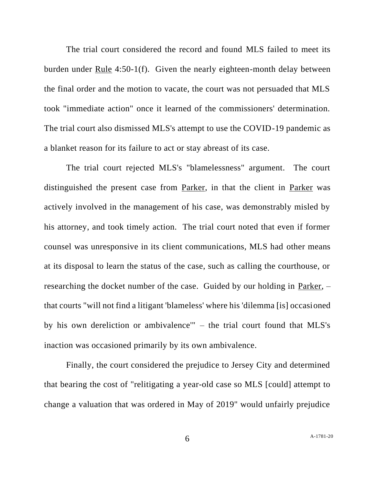The trial court considered the record and found MLS failed to meet its burden under Rule 4:50-1(f). Given the nearly eighteen-month delay between the final order and the motion to vacate, the court was not persuaded that MLS took "immediate action" once it learned of the commissioners' determination. The trial court also dismissed MLS's attempt to use the COVID-19 pandemic as a blanket reason for its failure to act or stay abreast of its case.

The trial court rejected MLS's "blamelessness" argument. The court distinguished the present case from Parker, in that the client in Parker was actively involved in the management of his case, was demonstrably misled by his attorney, and took timely action. The trial court noted that even if former counsel was unresponsive in its client communications, MLS had other means at its disposal to learn the status of the case, such as calling the courthouse, or researching the docket number of the case. Guided by our holding in Parker, – that courts "will not find a litigant 'blameless' where his 'dilemma [is] occasioned by his own dereliction or ambivalence'" – the trial court found that MLS's inaction was occasioned primarily by its own ambivalence.

Finally, the court considered the prejudice to Jersey City and determined that bearing the cost of "relitigating a year-old case so MLS [could] attempt to change a valuation that was ordered in May of 2019" would unfairly prejudice